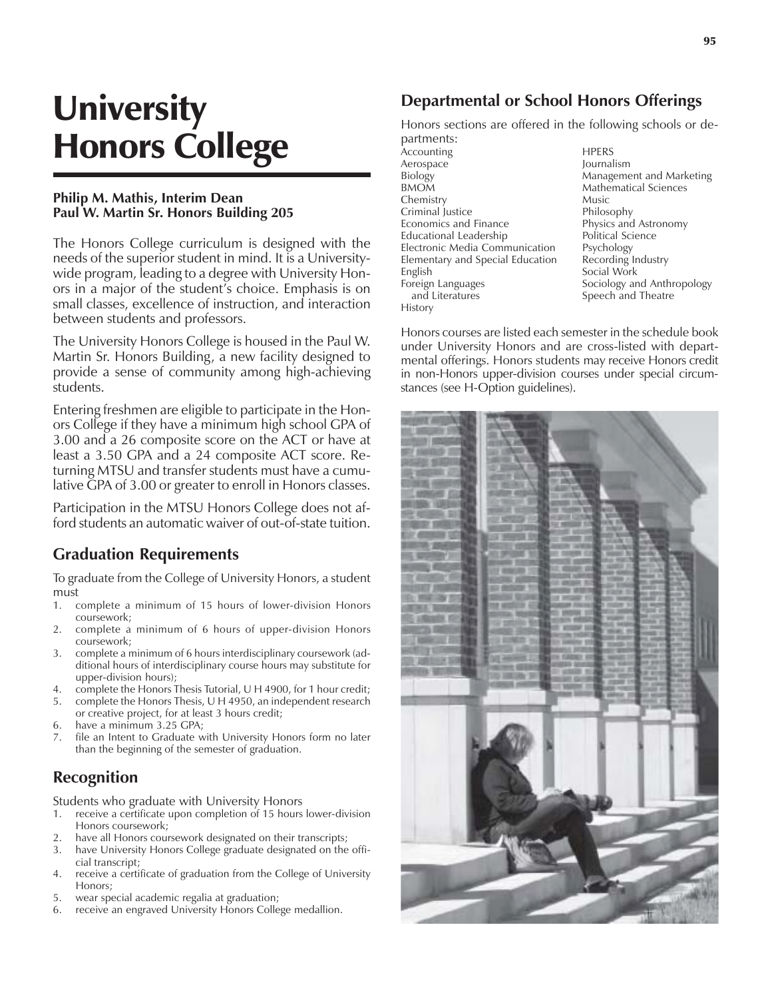# **University** Honors College

#### **Philip M. Mathis, Interim Dean Paul W. Martin Sr. Honors Building 205**

The Honors College curriculum is designed with the needs of the superior student in mind. It is a Universitywide program, leading to a degree with University Honors in a major of the student's choice. Emphasis is on small classes, excellence of instruction, and interaction between students and professors.

The University Honors College is housed in the Paul W. Martin Sr. Honors Building, a new facility designed to provide a sense of community among high-achieving students.

Entering freshmen are eligible to participate in the Honors College if they have a minimum high school GPA of 3.00 and a 26 composite score on the ACT or have at least a 3.50 GPA and a 24 composite ACT score. Returning MTSU and transfer students must have a cumulative GPA of 3.00 or greater to enroll in Honors classes.

Participation in the MTSU Honors College does not afford students an automatic waiver of out-of-state tuition.

### **Graduation Requirements**

To graduate from the College of University Honors, a student must

- 1. complete a minimum of 15 hours of lower-division Honors coursework;
- 2. complete a minimum of 6 hours of upper-division Honors coursework;
- 3. complete a minimum of 6 hours interdisciplinary coursework (additional hours of interdisciplinary course hours may substitute for upper-division hours);
- 4. complete the Honors Thesis Tutorial, U H 4900, for 1 hour credit;
- 5. complete the Honors Thesis, U H 4950, an independent research or creative project, for at least 3 hours credit;
- 6. have a minimum 3.25 GPA;
- 7. file an Intent to Graduate with University Honors form no later than the beginning of the semester of graduation.

## **Recognition**

Students who graduate with University Honors

- 1. receive a certificate upon completion of 15 hours lower-division Honors coursework;
- 2. have all Honors coursework designated on their transcripts;
- 3. have University Honors College graduate designated on the official transcript;
- 4. receive a certificate of graduation from the College of University Honors;
- 5. wear special academic regalia at graduation;
- 6. receive an engraved University Honors College medallion.

## **Departmental or School Honors Offerings**

Honors sections are offered in the following schools or departments:

.<br>Accounting HPERS Aerospace Journalism Biology Management and Marketing Chemistry Music Criminal Justice **Philosophy**<br>Economics and Finance **Physics** and Astronomy Economics and Finance Educational Leadership Political Science<br>Electronic Media Communication Psychology Electronic Media Communication Psychology<br>Elementary and Special Education Recording Industry Elementary and Special Education English Social Work Foreign Languages Sociology and Anthropology and Literatures Speech and Theatre History

Mathematical Sciences

Honors courses are listed each semester in the schedule book under University Honors and are cross-listed with departmental offerings. Honors students may receive Honors credit in non-Honors upper-division courses under special circumstances (see H-Option guidelines).